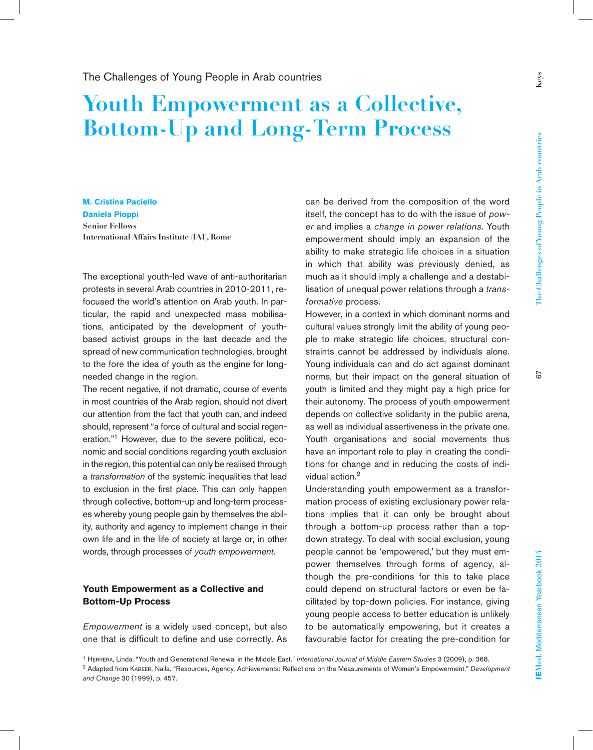**Keys**

## **Youth Empowerment as a Collective, Bottom-Up and Long-Term Process**

**M. Cristina Paciello Daniela Pioppi Senior Fellows International Affairs Institute (IAI), Rome**

The exceptional youth-led wave of anti-authoritarian protests in several Arab countries in 2010-2011, refocused the world's attention on Arab youth. In particular, the rapid and unexpected mass mobilisations, anticipated by the development of youthbased activist groups in the last decade and the spread of new communication technologies, brought to the fore the idea of youth as the engine for longneeded change in the region.

The recent negative, if not dramatic, course of events in most countries of the Arab region, should not divert our attention from the fact that youth can, and indeed should, represent "a force of cultural and social regeneration."1 However, due to the severe political, economic and social conditions regarding youth exclusion in the region, this potential can only be realised through a *transformation* of the systemic inequalities that lead to exclusion in the first place. This can only happen through collective, bottom-up and long-term processes whereby young people gain by themselves the ability, authority and agency to implement change in their own life and in the life of society at large or, in other words, through processes of *youth empowerment*.

## **Youth Empowerment as a Collective and Bottom-Up Process**

*Empowerment* is a widely used concept, but also one that is difficult to define and use correctly. As

can be derived from the composition of the word itself, the concept has to do with the issue of *power* and implies a *change in power relations*. Youth empowerment should imply an expansion of the ability to make strategic life choices in a situation in which that ability was previously denied, as much as it should imply a challenge and a destabilisation of unequal power relations through a *transformative* process.

However, in a context in which dominant norms and cultural values strongly limit the ability of young people to make strategic life choices, structural constraints cannot be addressed by individuals alone. Young individuals can and do act against dominant norms, but their impact on the general situation of youth is limited and they might pay a high price for their autonomy. The process of youth empowerment depends on collective solidarity in the public arena, as well as individual assertiveness in the private one. Youth organisations and social movements thus have an important role to play in creating the conditions for change and in reducing the costs of individual action.<sup>2</sup>

Understanding youth empowerment as a transformation process of existing exclusionary power relations implies that it can only be brought about through a bottom-up process rather than a topdown strategy. To deal with social exclusion, young people cannot be 'empowered,' but they must empower themselves through forms of agency, although the pre-conditions for this to take place could depend on structural factors or even be facilitated by top-down policies. For instance, giving young people access to better education is unlikely to be automatically empowering, but it creates a favourable factor for creating the pre-condition for

2 Adapted from Kabeer, Naila. "Resources, Agency, Achievements: Reflections on the Measurements of Women's Empowerment." *Development and Change* 30 (1999), p. 457.

<sup>&</sup>lt;sup>1</sup> HERRERA, Linda. "Youth and Generational Renewal in the Middle East." *International Journal of Middle Eastern Studies* 3 (2009), p. 368.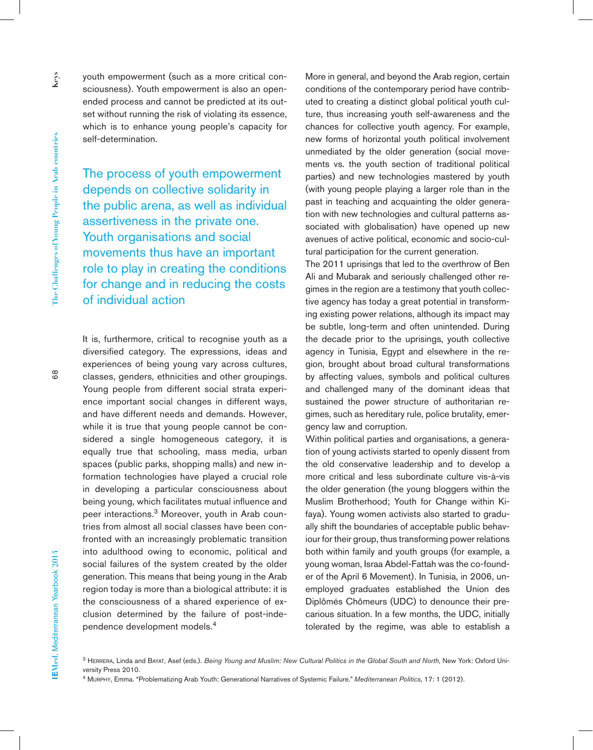youth empowerment (such as a more critical consciousness). Youth empowerment is also an openended process and cannot be predicted at its outset without running the risk of violating its essence, which is to enhance young people's capacity for self-determination.

The process of youth empowerment depends on collective solidarity in the public arena, as well as individual assertiveness in the private one. Youth organisations and social movements thus have an important role to play in creating the conditions for change and in reducing the costs of individual action

It is, furthermore, critical to recognise youth as a diversified category. The expressions, ideas and experiences of being young vary across cultures, classes, genders, ethnicities and other groupings. Young people from different social strata experience important social changes in different ways, and have different needs and demands. However, while it is true that young people cannot be considered a single homogeneous category, it is equally true that schooling, mass media, urban spaces (public parks, shopping malls) and new information technologies have played a crucial role in developing a particular consciousness about being young, which facilitates mutual influence and peer interactions.<sup>3</sup> Moreover, youth in Arab countries from almost all social classes have been confronted with an increasingly problematic transition into adulthood owing to economic, political and social failures of the system created by the older generation. This means that being young in the Arab region today is more than a biological attribute: it is the consciousness of a shared experience of exclusion determined by the failure of post-independence development models.<sup>4</sup>

More in general, and beyond the Arab region, certain conditions of the contemporary period have contributed to creating a distinct global political youth culture, thus increasing youth self-awareness and the chances for collective youth agency. For example, new forms of horizontal youth political involvement unmediated by the older generation (social movements vs. the youth section of traditional political parties) and new technologies mastered by youth (with young people playing a larger role than in the past in teaching and acquainting the older generation with new technologies and cultural patterns associated with globalisation) have opened up new avenues of active political, economic and socio-cultural participation for the current generation.

The 2011 uprisings that led to the overthrow of Ben Ali and Mubarak and seriously challenged other regimes in the region are a testimony that youth collective agency has today a great potential in transforming existing power relations, although its impact may be subtle, long-term and often unintended. During the decade prior to the uprisings, youth collective agency in Tunisia, Egypt and elsewhere in the region, brought about broad cultural transformations by affecting values, symbols and political cultures and challenged many of the dominant ideas that sustained the power structure of authoritarian regimes, such as hereditary rule, police brutality, emergency law and corruption.

Within political parties and organisations, a generation of young activists started to openly dissent from the old conservative leadership and to develop a more critical and less subordinate culture vis-à-vis the older generation (the young bloggers within the Muslim Brotherhood; Youth for Change within Kifaya). Young women activists also started to gradually shift the boundaries of acceptable public behaviour for their group, thus transforming power relations both within family and youth groups (for example, a young woman, Israa Abdel-Fattah was the co-founder of the April 6 Movement). In Tunisia, in 2006, unemployed graduates established the Union des Diplômés Chômeurs (UDC) to denounce their precarious situation. In a few months, the UDC, initially tolerated by the regime, was able to establish a

3 Herrera, Linda and Bayat, Asef (eds.). *Being Young and Muslim: New Cultural Politics in the Global South and North*, New York: Oxford University Press 2010.

4 Murphy, Emma. "Problematizing Arab Youth: Generational Narratives of Systemic Failure." *Mediterranean Politics*, 17: 1 (2012).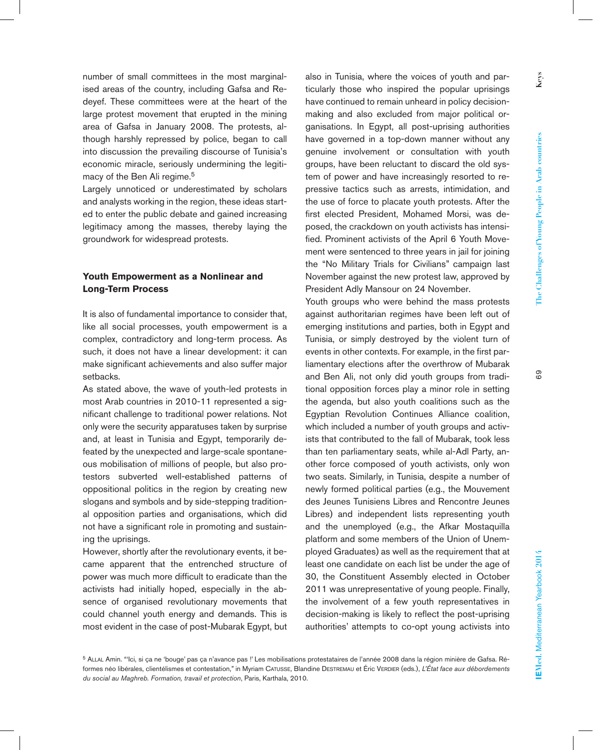**Keys**

number of small committees in the most marginalised areas of the country, including Gafsa and Redeyef. These committees were at the heart of the large protest movement that erupted in the mining area of Gafsa in January 2008. The protests, although harshly repressed by police, began to call into discussion the prevailing discourse of Tunisia's economic miracle, seriously undermining the legitimacy of the Ben Ali regime.<sup>5</sup>

Largely unnoticed or underestimated by scholars and analysts working in the region, these ideas started to enter the public debate and gained increasing legitimacy among the masses, thereby laying the groundwork for widespread protests.

## **Youth Empowerment as a Nonlinear and Long-Term Process**

It is also of fundamental importance to consider that, like all social processes, youth empowerment is a complex, contradictory and long-term process. As such, it does not have a linear development: it can make significant achievements and also suffer major setbacks.

As stated above, the wave of youth-led protests in most Arab countries in 2010-11 represented a significant challenge to traditional power relations. Not only were the security apparatuses taken by surprise and, at least in Tunisia and Egypt, temporarily defeated by the unexpected and large-scale spontaneous mobilisation of millions of people, but also protestors subverted well-established patterns of oppositional politics in the region by creating new slogans and symbols and by side-stepping traditional opposition parties and organisations, which did not have a significant role in promoting and sustaining the uprisings.

However, shortly after the revolutionary events, it became apparent that the entrenched structure of power was much more difficult to eradicate than the activists had initially hoped, especially in the absence of organised revolutionary movements that could channel youth energy and demands. This is most evident in the case of post-Mubarak Egypt, but

also in Tunisia, where the voices of youth and particularly those who inspired the popular uprisings have continued to remain unheard in policy decisionmaking and also excluded from major political organisations. In Egypt, all post-uprising authorities have governed in a top-down manner without any genuine involvement or consultation with youth groups, have been reluctant to discard the old system of power and have increasingly resorted to repressive tactics such as arrests, intimidation, and the use of force to placate youth protests. After the first elected President, Mohamed Morsi, was deposed, the crackdown on youth activists has intensified. Prominent activists of the April 6 Youth Movement were sentenced to three years in jail for joining the "No Military Trials for Civilians" campaign last November against the new protest law, approved by President Adly Mansour on 24 November.

Youth groups who were behind the mass protests against authoritarian regimes have been left out of emerging institutions and parties, both in Egypt and Tunisia, or simply destroyed by the violent turn of events in other contexts. For example, in the first parliamentary elections after the overthrow of Mubarak and Ben Ali, not only did youth groups from traditional opposition forces play a minor role in setting the agenda, but also youth coalitions such as the Egyptian Revolution Continues Alliance coalition, which included a number of youth groups and activists that contributed to the fall of Mubarak, took less than ten parliamentary seats, while al-Adl Party, another force composed of youth activists, only won two seats. Similarly, in Tunisia, despite a number of newly formed political parties (e.g., the Mouvement des Jeunes Tunisiens Libres and Rencontre Jeunes Libres) and independent lists representing youth and the unemployed (e.g., the Afkar Mostaquilla platform and some members of the Union of Unemployed Graduates) as well as the requirement that at least one candidate on each list be under the age of 30, the Constituent Assembly elected in October 2011 was unrepresentative of young people. Finally, the involvement of a few youth representatives in decision-making is likely to reflect the post-uprising authorities' attempts to co-opt young activists into

<sup>&</sup>lt;sup>5</sup> ALLAL Amin. "'Ici, si ça ne 'bouge' pas ça n'avance pas !' Les mobilisations protestataires de l'année 2008 dans la région minière de Gafsa. Réformes néo libérales, clientélismes et contestation," in Myriam CATUSSE, Blandine DESTREMAU et Éric VERDIER (eds.), L'État face aux débordements *du social au Maghreb. Formation, travail et protection*, Paris, Karthala, 2010.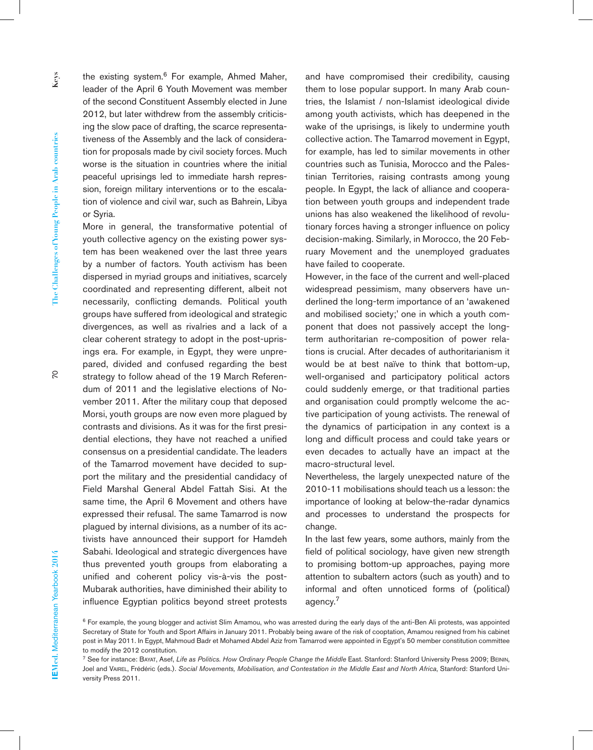the existing system.<sup>6</sup> For example, Ahmed Maher, leader of the April 6 Youth Movement was member of the second Constituent Assembly elected in June 2012, but later withdrew from the assembly criticising the slow pace of drafting, the scarce representativeness of the Assembly and the lack of consideration for proposals made by civil society forces. Much worse is the situation in countries where the initial peaceful uprisings led to immediate harsh repression, foreign military interventions or to the escalation of violence and civil war, such as Bahrein, Libya or Syria.

More in general, the transformative potential of youth collective agency on the existing power system has been weakened over the last three years by a number of factors. Youth activism has been dispersed in myriad groups and initiatives, scarcely coordinated and representing different, albeit not necessarily, conflicting demands. Political youth groups have suffered from ideological and strategic divergences, as well as rivalries and a lack of a clear coherent strategy to adopt in the post-uprisings era. For example, in Egypt, they were unprepared, divided and confused regarding the best

strategy to follow ahead of the 19 March Referendum of 2011 and the legislative elections of November 2011. After the military coup that deposed Morsi, youth groups are now even more plagued by contrasts and divisions. As it was for the first presidential elections, they have not reached a unified consensus on a presidential candidate. The leaders of the Tamarrod movement have decided to support the military and the presidential candidacy of Field Marshal General Abdel Fattah Sisi. At the same time, the April 6 Movement and others have expressed their refusal. The same Tamarrod is now plagued by internal divisions, as a number of its activists have announced their support for Hamdeh Sabahi. Ideological and strategic divergences have thus prevented youth groups from elaborating a unified and coherent policy vis-à-vis the post-Mubarak authorities, have diminished their ability to influence Egyptian politics beyond street protests

and have compromised their credibility, causing them to lose popular support. In many Arab countries, the Islamist / non-Islamist ideological divide among youth activists, which has deepened in the wake of the uprisings, is likely to undermine youth collective action. The Tamarrod movement in Egypt, for example, has led to similar movements in other countries such as Tunisia, Morocco and the Palestinian Territories, raising contrasts among young people. In Egypt, the lack of alliance and cooperation between youth groups and independent trade unions has also weakened the likelihood of revolutionary forces having a stronger influence on policy decision-making. Similarly, in Morocco, the 20 February Movement and the unemployed graduates have failed to cooperate.

However, in the face of the current and well-placed widespread pessimism, many observers have underlined the long-term importance of an 'awakened and mobilised society;' one in which a youth component that does not passively accept the longterm authoritarian re-composition of power relations is crucial. After decades of authoritarianism it would be at best naïve to think that bottom-up, well-organised and participatory political actors could suddenly emerge, or that traditional parties and organisation could promptly welcome the active participation of young activists. The renewal of the dynamics of participation in any context is a long and difficult process and could take years or even decades to actually have an impact at the macro-structural level.

Nevertheless, the largely unexpected nature of the 2010-11 mobilisations should teach us a lesson: the importance of looking at below-the-radar dynamics and processes to understand the prospects for change.

In the last few years, some authors, mainly from the field of political sociology, have given new strength to promising bottom-up approaches, paying more attention to subaltern actors (such as youth) and to informal and often unnoticed forms of (political) agency.7

<sup>&</sup>lt;sup>6</sup> For example, the young blogger and activist Slim Amamou, who was arrested during the early days of the anti-Ben Ali protests, was appointed Secretary of State for Youth and Sport Affairs in January 2011. Probably being aware of the risk of cooptation, Amamou resigned from his cabinet post in May 2011. In Egypt, Mahmoud Badr et Mohamed Abdel Aziz from Tamarrod were appointed in Egypt's 50 member constitution committee to modify the 2012 constitution.

<sup>&</sup>lt;sup>7</sup> See for instance: BAYAT, Asef, Life as Politics. How Ordinary People Change the Middle East. Stanford: Stanford University Press 2009; BEININ, Joel and VAIREL, Frédéric (eds.). Social Movements, Mobilisation, and Contestation in the Middle East and North Africa, Stanford: Stanford University Press 2011.